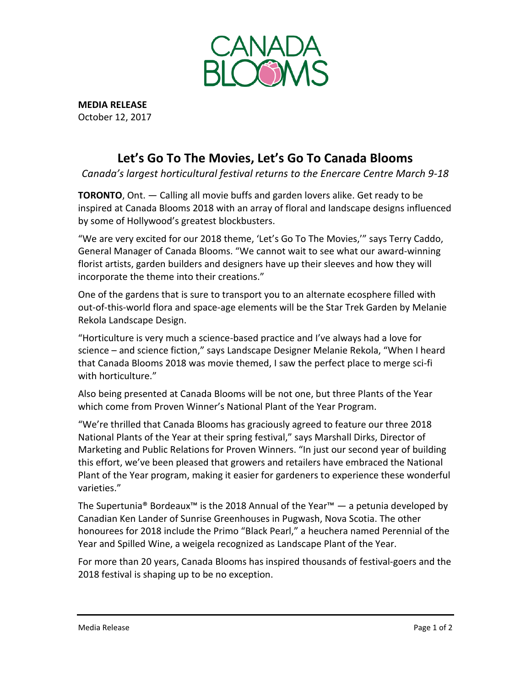

**MEDIA RELEASE** October 12, 2017

# **Let's Go To The Movies, Let's Go To Canada Blooms**

*Canada's largest horticultural festival returns to the Enercare Centre March 9-18*

**TORONTO**, Ont. — Calling all movie buffs and garden lovers alike. Get ready to be inspired at Canada Blooms 2018 with an array of floral and landscape designs influenced by some of Hollywood's greatest blockbusters.

"We are very excited for our 2018 theme, 'Let's Go To The Movies,'" says Terry Caddo, General Manager of Canada Blooms. "We cannot wait to see what our award-winning florist artists, garden builders and designers have up their sleeves and how they will incorporate the theme into their creations."

One of the gardens that is sure to transport you to an alternate ecosphere filled with out-of-this-world flora and space-age elements will be the Star Trek Garden by Melanie Rekola Landscape Design.

"Horticulture is very much a science-based practice and I've always had a love for science – and science fiction," says Landscape Designer Melanie Rekola, "When I heard that Canada Blooms 2018 was movie themed, I saw the perfect place to merge sci-fi with horticulture."

Also being presented at Canada Blooms will be not one, but three Plants of the Year which come from Proven Winner's National Plant of the Year Program.

"We're thrilled that Canada Blooms has graciously agreed to feature our three 2018 National Plants of the Year at their spring festival," says Marshall Dirks, Director of Marketing and Public Relations for Proven Winners. "In just our second year of building this effort, we've been pleased that growers and retailers have embraced the National Plant of the Year program, making it easier for gardeners to experience these wonderful varieties."

The Supertunia® Bordeaux™ is the 2018 Annual of the Year™ — a petunia developed by Canadian Ken Lander of Sunrise Greenhouses in Pugwash, Nova Scotia. The other honourees for 2018 include the Primo "Black Pearl," a heuchera named Perennial of the Year and Spilled Wine, a weigela recognized as Landscape Plant of the Year.

For more than 20 years, Canada Blooms has inspired thousands of festival-goers and the 2018 festival is shaping up to be no exception.